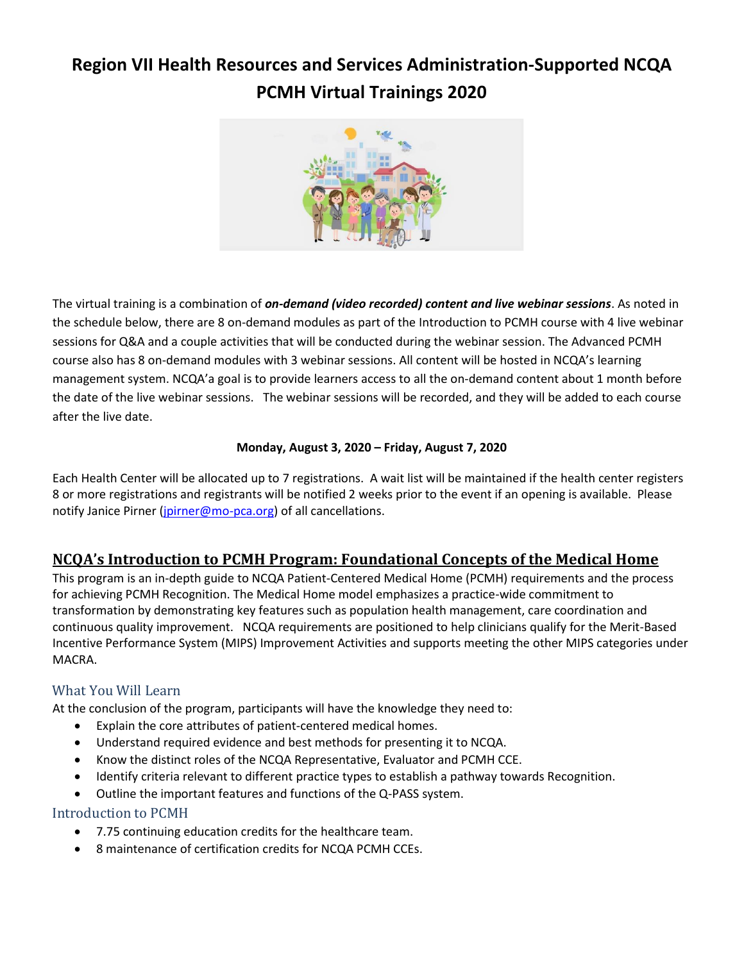# **Region VII Health Resources and Services Administration-Supported NCQA PCMH Virtual Trainings 2020**



The virtual training is a combination of *on-demand (video recorded) content and live webinar sessions*. As noted in the schedule below, there are 8 on-demand modules as part of the Introduction to PCMH course with 4 live webinar sessions for Q&A and a couple activities that will be conducted during the webinar session. The Advanced PCMH course also has 8 on-demand modules with 3 webinar sessions. All content will be hosted in NCQA's learning management system. NCQA'a goal is to provide learners access to all the on-demand content about 1 month before the date of the live webinar sessions. The webinar sessions will be recorded, and they will be added to each course after the live date.

### **Monday, August 3, 2020 – Friday, August 7, 2020**

Each Health Center will be allocated up to 7 registrations. A wait list will be maintained if the health center registers 8 or more registrations and registrants will be notified 2 weeks prior to the event if an opening is available. Please notify Janice Pirner (*jpirner@mo-pca.org*) of all cancellations.

# **NCQA's Introduction to PCMH Program: Foundational Concepts of the Medical Home**

This program is an in-depth guide to NCQA Patient-Centered Medical Home (PCMH) requirements and the process for achieving PCMH Recognition. The Medical Home model emphasizes a practice-wide commitment to transformation by demonstrating key features such as population health management, care coordination and continuous quality improvement. NCQA requirements are positioned to help clinicians qualify for the Merit-Based Incentive Performance System (MIPS) Improvement Activities and supports meeting the other MIPS categories under MACRA.

### What You Will Learn

At the conclusion of the program, participants will have the knowledge they need to:

- Explain the core attributes of patient-centered medical homes.
- Understand required evidence and best methods for presenting it to NCQA.
- Know the distinct roles of the NCQA Representative, Evaluator and PCMH CCE.
- Identify criteria relevant to different practice types to establish a pathway towards Recognition.
- Outline the important features and functions of the Q-PASS system.

### Introduction to PCMH

- 7.75 continuing education credits for the healthcare team.
- 8 maintenance of certification credits for NCQA PCMH CCEs.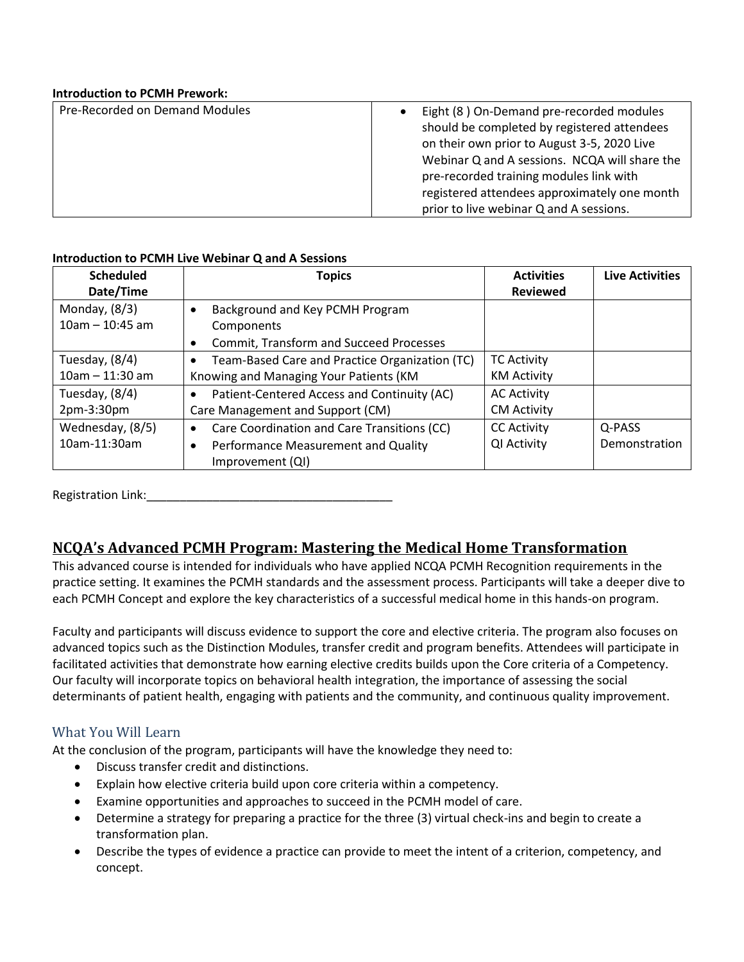#### **Introduction to PCMH Prework:**

| Pre-Recorded on Demand Modules | Eight (8) On-Demand pre-recorded modules      |  |  |
|--------------------------------|-----------------------------------------------|--|--|
|                                | should be completed by registered attendees   |  |  |
|                                | on their own prior to August 3-5, 2020 Live   |  |  |
|                                | Webinar Q and A sessions. NCQA will share the |  |  |
|                                | pre-recorded training modules link with       |  |  |
|                                | registered attendees approximately one month  |  |  |
|                                | prior to live webinar Q and A sessions.       |  |  |

#### **Introduction to PCMH Live Webinar Q and A Sessions**

| <b>Scheduled</b>  | <b>Topics</b>                                               | <b>Activities</b>  | <b>Live Activities</b> |
|-------------------|-------------------------------------------------------------|--------------------|------------------------|
| Date/Time         |                                                             | <b>Reviewed</b>    |                        |
| Monday, $(8/3)$   | Background and Key PCMH Program<br>$\bullet$                |                    |                        |
| $10am - 10:45 am$ | Components                                                  |                    |                        |
|                   | <b>Commit, Transform and Succeed Processes</b><br>$\bullet$ |                    |                        |
| Tuesday, (8/4)    | Team-Based Care and Practice Organization (TC)<br>٠         | <b>TC Activity</b> |                        |
| $10am - 11:30 am$ | Knowing and Managing Your Patients (KM                      | <b>KM Activity</b> |                        |
| Tuesday, (8/4)    | Patient-Centered Access and Continuity (AC)<br>$\bullet$    | <b>AC Activity</b> |                        |
| 2pm-3:30pm        | Care Management and Support (CM)                            | <b>CM Activity</b> |                        |
| Wednesday, (8/5)  | Care Coordination and Care Transitions (CC)<br>$\bullet$    | <b>CC Activity</b> | Q-PASS                 |
| 10am-11:30am      | Performance Measurement and Quality<br>$\bullet$            | QI Activity        | Demonstration          |
|                   | Improvement (QI)                                            |                    |                        |

Registration Link:\_\_\_\_\_\_\_\_\_\_\_\_\_\_\_\_\_\_\_\_\_\_\_\_\_\_\_\_\_\_\_\_\_\_\_\_\_

# **NCQA's Advanced PCMH Program: Mastering the Medical Home Transformation**

This advanced course is intended for individuals who have applied NCQA PCMH Recognition requirements in the practice setting. It examines the PCMH standards and the assessment process. Participants will take a deeper dive to each PCMH Concept and explore the key characteristics of a successful medical home in this hands-on program.

Faculty and participants will discuss evidence to support the core and elective criteria. The program also focuses on advanced topics such as the Distinction Modules, transfer credit and program benefits. Attendees will participate in facilitated activities that demonstrate how earning elective credits builds upon the Core criteria of a Competency. Our faculty will incorporate topics on behavioral health integration, the importance of assessing the social determinants of patient health, engaging with patients and the community, and continuous quality improvement.

### What You Will Learn

At the conclusion of the program, participants will have the knowledge they need to:

- Discuss transfer credit and distinctions.
- Explain how elective criteria build upon core criteria within a competency.
- Examine opportunities and approaches to succeed in the PCMH model of care.
- Determine a strategy for preparing a practice for the three (3) virtual check-ins and begin to create a transformation plan.
- Describe the types of evidence a practice can provide to meet the intent of a criterion, competency, and concept.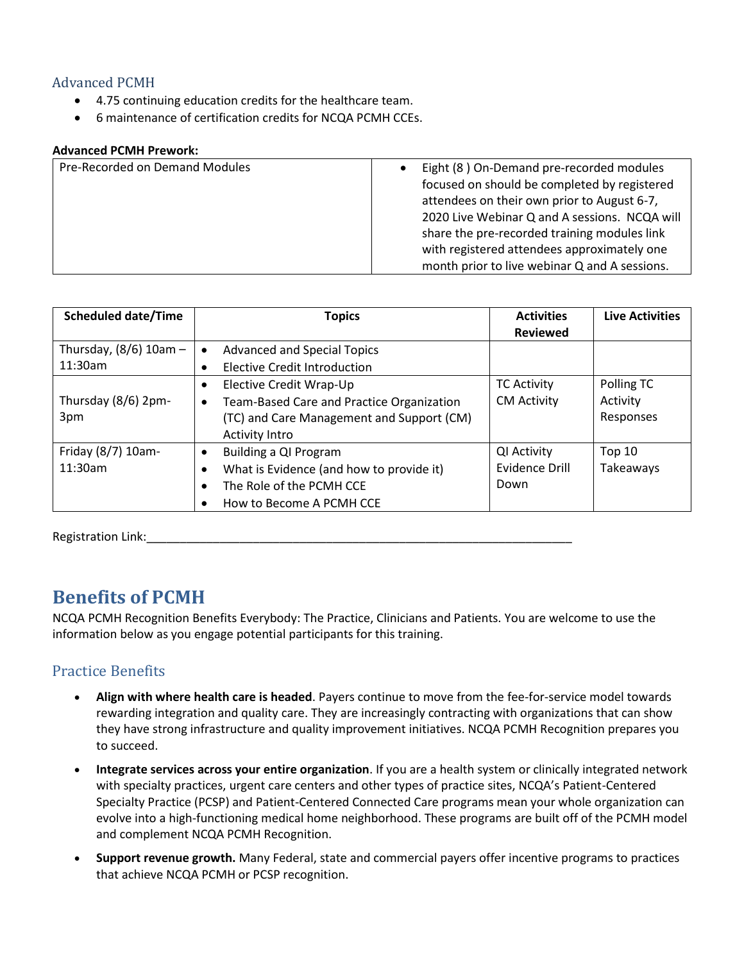### Advanced PCMH

- 4.75 continuing education credits for the healthcare team.
- 6 maintenance of certification credits for NCQA PCMH CCEs.

#### **Advanced PCMH Prework:**

| Pre-Recorded on Demand Modules | Eight (8) On-Demand pre-recorded modules<br>focused on should be completed by registered<br>attendees on their own prior to August 6-7,<br>2020 Live Webinar Q and A sessions. NCQA will<br>share the pre-recorded training modules link<br>with registered attendees approximately one<br>month prior to live webinar Q and A sessions. |
|--------------------------------|------------------------------------------------------------------------------------------------------------------------------------------------------------------------------------------------------------------------------------------------------------------------------------------------------------------------------------------|
|                                |                                                                                                                                                                                                                                                                                                                                          |

| <b>Scheduled date/Time</b> | <b>Topics</b>                                   | <b>Activities</b>  | <b>Live Activities</b> |
|----------------------------|-------------------------------------------------|--------------------|------------------------|
|                            |                                                 | <b>Reviewed</b>    |                        |
| Thursday, $(8/6)$ 10am -   | <b>Advanced and Special Topics</b><br>$\bullet$ |                    |                        |
| 11:30am                    | <b>Elective Credit Introduction</b>             |                    |                        |
|                            | Elective Credit Wrap-Up<br>$\bullet$            | <b>TC Activity</b> | Polling TC             |
| Thursday (8/6) 2pm-        | Team-Based Care and Practice Organization<br>٠  | <b>CM Activity</b> | Activity               |
| 3pm                        | (TC) and Care Management and Support (CM)       |                    | Responses              |
|                            | <b>Activity Intro</b>                           |                    |                        |
| Friday (8/7) 10am-         | Building a QI Program<br>$\bullet$              | QI Activity        | <b>Top 10</b>          |
| 11:30am                    | What is Evidence (and how to provide it)        | Evidence Drill     | Takeaways              |
|                            | The Role of the PCMH CCE<br>٠                   | Down               |                        |
|                            | How to Become A PCMH CCE                        |                    |                        |

Registration Link:

# **Benefits of PCMH**

NCQA PCMH Recognition Benefits Everybody: The Practice, Clinicians and Patients. You are welcome to use the information below as you engage potential participants for this training.

# Practice Benefits

- **Align with where health care is headed**. Payers continue to move from the fee-for-service model towards rewarding integration and quality care. They are increasingly contracting with organizations that can show they have strong infrastructure and quality improvement initiatives. NCQA PCMH Recognition prepares you to succeed.
- **Integrate services across your entire organization**. If you are a health system or clinically integrated network with specialty practices, urgent care centers and other types of practice sites, NCQA's Patient-Centered Specialty Practice (PCSP) and Patient-Centered Connected Care programs mean your whole organization can evolve into a high-functioning medical home neighborhood. These programs are built off of the PCMH model and complement NCQA PCMH Recognition.
- **Support revenue growth.** Many Federal, state and commercial payers offer incentive programs to practices that achieve NCQA PCMH or PCSP recognition.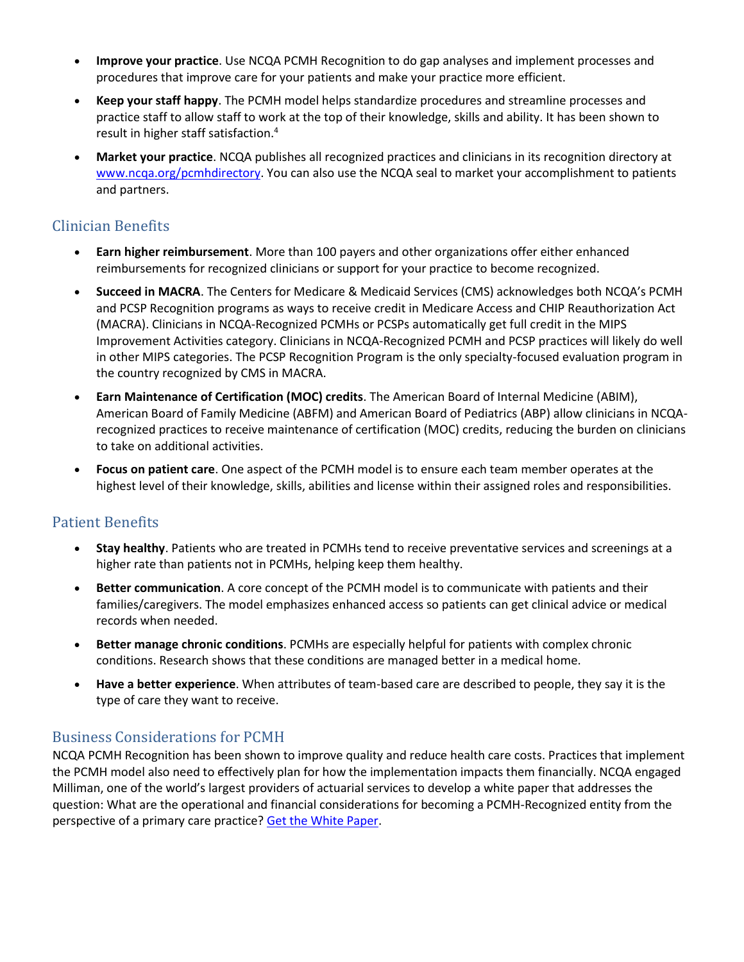- **Improve your practice**. Use NCQA PCMH Recognition to do gap analyses and implement processes and procedures that improve care for your patients and make your practice more efficient.
- **Keep your staff happy**. The PCMH model helps standardize procedures and streamline processes and practice staff to allow staff to work at the top of their knowledge, skills and ability. It has been shown to result in higher staff satisfaction.<sup>4</sup>
- **Market your practice**. NCQA publishes all recognized practices and clinicians in its recognition directory at [www.ncqa.org/pcmhdirectory.](http://www.ncqa.org/pcmhdirectory) You can also use the NCQA seal to market your accomplishment to patients and partners.

# Clinician Benefits

- **Earn higher reimbursement**. More than 100 payers and other organizations offer either enhanced reimbursements for recognized clinicians or support for your practice to become recognized.
- **Succeed in MACRA**. The Centers for Medicare & Medicaid Services (CMS) acknowledges both NCQA's PCMH and PCSP Recognition programs as ways to receive credit in Medicare Access and CHIP Reauthorization Act (MACRA). Clinicians in NCQA-Recognized PCMHs or PCSPs automatically get full credit in the MIPS Improvement Activities category. Clinicians in NCQA-Recognized PCMH and PCSP practices will likely do well in other MIPS categories. The PCSP Recognition Program is the only specialty-focused evaluation program in the country recognized by CMS in MACRA.
- **Earn Maintenance of Certification (MOC) credits**. The American Board of Internal Medicine (ABIM), American Board of Family Medicine (ABFM) and American Board of Pediatrics (ABP) allow clinicians in NCQArecognized practices to receive maintenance of certification (MOC) credits, reducing the burden on clinicians to take on additional activities.
- **Focus on patient care**. One aspect of the PCMH model is to ensure each team member operates at the highest level of their knowledge, skills, abilities and license within their assigned roles and responsibilities.

# Patient Benefits

- **Stay healthy**. Patients who are treated in PCMHs tend to receive preventative services and screenings at a higher rate than patients not in PCMHs, helping keep them healthy.
- **Better communication**. A core concept of the PCMH model is to communicate with patients and their families/caregivers. The model emphasizes enhanced access so patients can get clinical advice or medical records when needed.
- **Better manage chronic conditions**. PCMHs are especially helpful for patients with complex chronic conditions. Research shows that these conditions are managed better in a medical home.
- **Have a better experience**. When attributes of team-based care are described to people, they say it is the type of care they want to receive.

# Business Considerations for PCMH

NCQA PCMH Recognition has been shown to improve quality and reduce health care costs. Practices that implement the PCMH model also need to effectively plan for how the implementation impacts them financially. NCQA engaged Milliman, one of the world's largest providers of actuarial services to develop a white paper that addresses the question: What are the operational and financial considerations for becoming a PCMH-Recognized entity from the perspective of a primary care practice? [Get the White Paper.](https://www.ncqa.org/programs/health-care-providers-practices/patient-centered-medical-home-pcmh/benefits-support/pcmh-evidence/the-business-case-for-pcmh/)